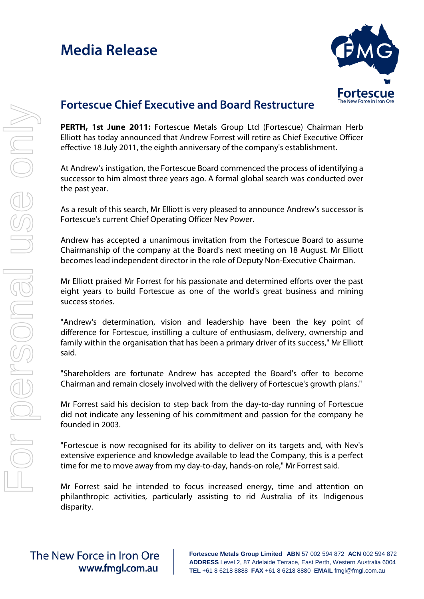# **Media Release**



### **Fortescue Chief Executive and Board Restructure**

**PERTH, 1st June 2011:** Fortescue Metals Group Ltd (Fortescue) Chairman Herb Elliott has today announced that Andrew Forrest will retire as Chief Executive Officer effective 18 July 2011, the eighth anniversary of the company's establishment.

At Andrew's instigation, the Fortescue Board commenced the process of identifying a successor to him almost three years ago. A formal global search was conducted over the past year.

As a result of this search, Mr Elliott is very pleased to announce Andrew's successor is Fortescue's current Chief Operating Officer Nev Power.

Andrew has accepted a unanimous invitation from the Fortescue Board to assume Chairmanship of the company at the Board's next meeting on 18 August. Mr Elliott becomes lead independent director in the role of Deputy Non-Executive Chairman.

Mr Elliott praised Mr Forrest for his passionate and determined efforts over the past eight years to build Fortescue as one of the world's great business and mining success stories.

"Andrew's determination, vision and leadership have been the key point of difference for Fortescue, instilling a culture of enthusiasm, delivery, ownership and family within the organisation that has been a primary driver of its success," Mr Elliott said.

"Shareholders are fortunate Andrew has accepted the Board's offer to become Chairman and remain closely involved with the delivery of Fortescue's growth plans."

Mr Forrest said his decision to step back from the day-to-day running of Fortescue did not indicate any lessening of his commitment and passion for the company he founded in 2003.

"Fortescue is now recognised for its ability to deliver on its targets and, with Nev's extensive experience and knowledge available to lead the Company, this is a perfect time for me to move away from my day-to-day, hands-on role," Mr Forrest said.

Mr Forrest said he intended to focus increased energy, time and attention on philanthropic activities, particularly assisting to rid Australia of its Indigenous disparity.